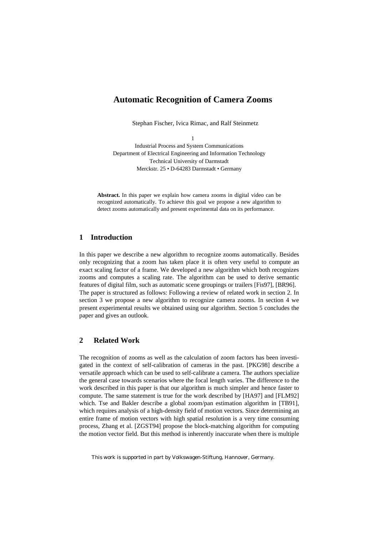# **Automatic Recognition of Camera Zooms**

Stephan Fischer, Ivica Rimac, and Ralf Steinmetz

1 Industrial Process and System Communications Department of Electrical Engineering and Information Technology Technical University of Darmstadt Merckstr. 25 • D-64283 Darmstadt • Germany

**Abstract.** In this paper we explain how camera zooms in digital video can be recognized automatically. To achieve this goal we propose a new algorithm to detect zooms automatically and present experimental data on its performance.

## **1 Introduction**

In this paper we describe a new algorithm to recognize zooms automatically. Besides only recognizing that a zoom has taken place it is often very useful to compute an exact scaling factor of a frame. We developed a new algorithm which both recognizes zooms and computes a scaling rate. The algorithm can be used to derive semantic features of digital film, such as automatic scene groupings or trailers [Fis97], [BR96]. The paper is structured as follows: Following a review of related work in section 2. In section 3 we propose a new algorithm to recognize camera zooms. In section 4 we present experimental results we obtained using our algorithm. Section 5 concludes the paper and gives an outlook.

## **2 Related Work**

The recognition of zooms as well as the calculation of zoom factors has been investigated in the context of self-calibration of cameras in the past. [PKG98] describe a versatile approach which can be used to self-calibrate a camera. The authors specialize the general case towards scenarios where the focal length varies. The difference to the work described in this paper is that our algorithm is much simpler and hence faster to compute. The same statement is true for the work described by [HA97] and [FLM92] which. Tse and Bakler describe a global zoom/pan estimation algorithm in [TB91], which requires analysis of a high-density field of motion vectors. Since determining an entire frame of motion vectors with high spatial resolution is a very time consuming process, Zhang et al. [ZGST94] propose the block-matching algorithm for computing the motion vector field. But this method is inherently inaccurate when there is multiple

This work is supported in part by Volkswagen-Stiftung, Hannover, Germany.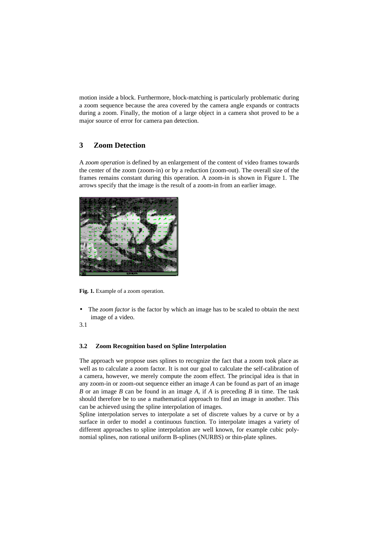motion inside a block. Furthermore, block-matching is particularly problematic during a zoom sequence because the area covered by the camera angle expands or contracts during a zoom. Finally, the motion of a large object in a camera shot proved to be a major source of error for camera pan detection.

## **3 Zoom Detection**

A *zoom operation* is defined by an enlargement of the content of video frames towards the center of the zoom (zoom-in) or by a reduction (zoom-out). The overall size of the frames remains constant during this operation. A zoom-in is shown in Figure 1. The arrows specify that the image is the result of a zoom-in from an earlier image.



**Fig. 1.** Example of a zoom operation.

- The *zoom factor* is the factor by which an image has to be scaled to obtain the next image of a video.
- 3.1

## **3.2 Zoom Recognition based on Spline Interpolation**

The approach we propose uses splines to recognize the fact that a zoom took place as well as to calculate a zoom factor. It is not our goal to calculate the self-calibration of a camera, however, we merely compute the zoom effect. The principal idea is that in any zoom-in or zoom-out sequence either an image *A* can be found as part of an image *B* or an image *B* can be found in an image *A*, if *A* is preceding *B* in time. The task should therefore be to use a mathematical approach to find an image in another. This can be achieved using the spline interpolation of images.

Spline interpolation serves to interpolate a set of discrete values by a curve or by a surface in order to model a continuous function. To interpolate images a variety of different approaches to spline interpolation are well known, for example cubic polynomial splines, non rational uniform B-splines (NURBS) or thin-plate splines.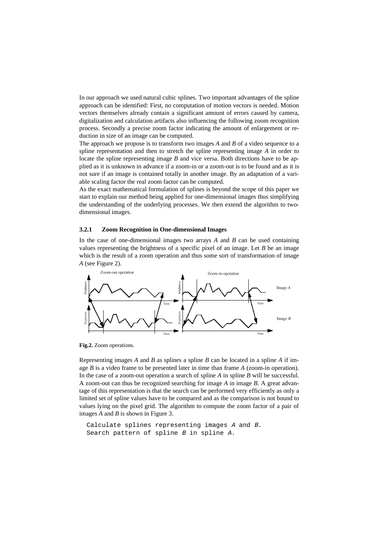In our approach we used natural cubic splines. Two important advantages of the spline approach can be identified: First, no computation of motion vectors is needed. Motion vectors themselves already contain a significant amount of errors caused by camera, digitalization and calculation artifacts also influencing the following zoom recognition process. Secondly a precise zoom factor indicating the amount of enlargement or reduction in size of an image can be computed.

The approach we propose is to transform two images *A* and *B* of a video sequence to a spline representation and then to stretch the spline representing image *A* in order to locate the spline representing image *B* and vice versa. Both directions have to be applied as it is unknown in advance if a zoom-in or a zoom-out is to be found and as it is not sure if an image is contained totally in another image. By an adaptation of a variable scaling factor the real zoom factor can be computed.

As the exact mathematical formulation of splines is beyond the scope of this paper we start to explain our method being applied for one-dimensional images thus simplifying the understanding of the underlying processes. We then extend the algorithm to twodimensional images.

### **3.2.1 Zoom Recognition in One-dimensional Images**

In the case of one-dimensional images two arrays *A* and *B* can be used containing values representing the brightness of a specific pixel of an image. Let *B* be an image which is the result of a zoom operation and thus some sort of transformation of image *A* (see Figure 2).



**Fig.2.** Zoom operations.

Representing images *A* and *B* as splines a spline *B* can be located in a spline *A* if image *B* is a video frame to be presented later in time than frame *A* (zoom-in operation). In the case of a zoom-out operation a search of spline *A* in spline *B* will be successful. A zoom-out can thus be recognized searching for image *A* in image *B*. A great advantage of this representation is that the search can be performed very efficiently as only a limited set of spline values have to be compared and as the comparison is not bound to values lying on the pixel grid. The algorithm to compute the zoom factor of a pair of images *A* and *B* is shown in Figure 3.

Calculate splines representing images A and B. Search pattern of spline B in spline A.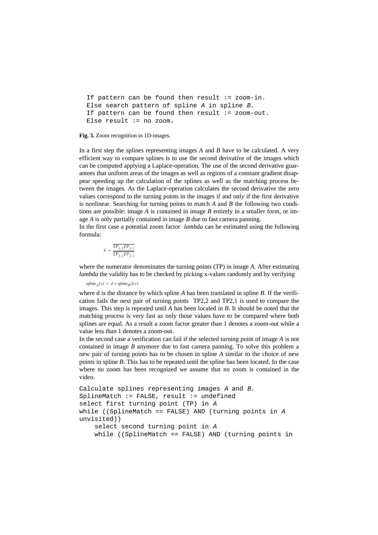```
If pattern can be found then result := zoom-in.
Else search pattern of spline A in spline B.
If pattern can be found then result := zoom-out.
Else result := no zoom.
```
### **Fig. 3.** Zoom recognition in 1D-images.

In a first step the splines representing images *A* and *B* have to be calculated. A very efficient way to compare splines is to use the second derivative of the images which can be computed applying a Laplace-operation. The use of the second derivative guarantees that uniform areas of the images as well as regions of a constant gradient disappear speeding up the calculation of the splines as well as the matching process between the images. As the Laplace-operation calculates the second derivative the zero values correspond to the turning points in the images if and only if the first derivative is nonlinear. Searching for turning points to match *A* and *B* the following two conditions are possible: image *A* is contained in image *B* entirely in a smaller form, or image *A* is only partially contained in image *B* due to fast camera panning.

In the first case a potential zoom factor *lambda* can be estimated using the following formula:

$$
\lambda = \frac{\overline{TP_{1,2}TP_{1,1}}}{\overline{TP_{2,2}TP_{2,1}}}
$$

where the numerator denominates the turning points (TP) in image *A*. After estimating *lambda* the validity has to be checked by picking x-values randomly and by verifying

spline  $_{\lambda}(x) = d + \text{ spline}_{\mu}(\lambda x)$ 

where d is the distance by which spline *A* has been translated in spline *B*. If the verification fails the next pair of turning points TP2,2 and TP2,1 is used to compare the images. This step is repeated until *A* has been located in *B*. It should be noted that the matching process is very fast as only those values have to be compared where both splines are equal. As a result a zoom factor greater than 1 denotes a zoom-out while a value less than 1 denotes a zoom-out.

In the second case a verification can fail if the selected turning point of image *A* is not contained in image *B* anymore due to fast camera panning. To solve this problem a new pair of turning points has to be chosen in spline *A* similar to the choice of new points in spline *B*. This has to be repeated until the spline has been located. In the case where no zoom has been recognized we assume that no zoom is contained in the video.

```
Calculate splines representing images A and B.
SplineMatch := FALSE, result := undefined
select first turning point (TP) in A
while ((SplineMatch == FALSE) AND (turning points in A
unvisited))
     select second turning point in A
     while ((SplineMatch == FALSE) AND (turning points in
```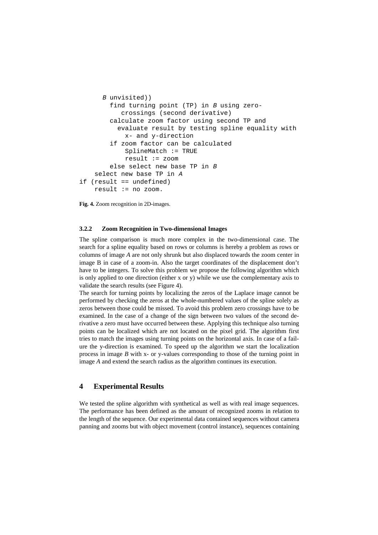```
 B unvisited))
         find turning point (TP) in B using zero-
            crossings (second derivative)
         calculate zoom factor using second TP and
           evaluate result by testing spline equality with
             x- and y-direction
         if zoom factor can be calculated
             SplineMatch := TRUE
             result := zoom
         else select new base TP in B
     select new base TP in A
if (result == undefined)
     result := no zoom.
```
**Fig. 4.** Zoom recognition in 2D-images.

### **3.2.2 Zoom Recognition in Two-dimensional Images**

The spline comparison is much more complex in the two-dimensional case. The search for a spline equality based on rows or columns is hereby a problem as rows or columns of image *A* are not only shrunk but also displaced towards the zoom center in image B in case of a zoom-in. Also the target coordinates of the displacement don't have to be integers. To solve this problem we propose the following algorithm which is only applied to one direction (either x or y) while we use the complementary axis to validate the search results (see Figure 4).

The search for turning points by localizing the zeros of the Laplace image cannot be performed by checking the zeros at the whole-numbered values of the spline solely as zeros between those could be missed. To avoid this problem zero crossings have to be examined. In the case of a change of the sign between two values of the second derivative a zero must have occurred between these. Applying this technique also turning points can be localized which are not located on the pixel grid. The algorithm first tries to match the images using turning points on the horizontal axis. In case of a failure the y-direction is examined. To speed up the algorithm we start the localization process in image *B* with x- or y-values corresponding to those of the turning point in image *A* and extend the search radius as the algorithm continues its execution.

## **4 Experimental Results**

We tested the spline algorithm with synthetical as well as with real image sequences. The performance has been defined as the amount of recognized zooms in relation to the length of the sequence. Our experimental data contained sequences without camera panning and zooms but with object movement (control instance), sequences containing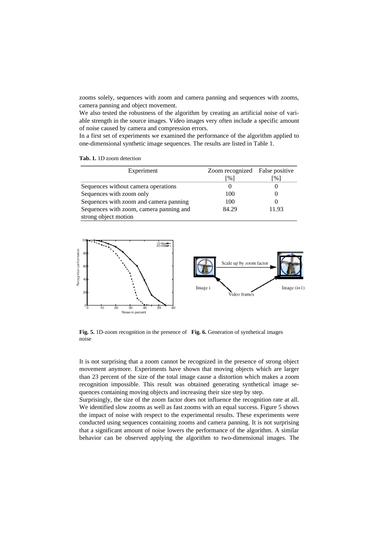zooms solely, sequences with zoom and camera panning and sequences with zooms, camera panning and object movement.

We also tested the robustness of the algorithm by creating an artificial noise of variable strength in the source images. Video images very often include a specific amount of noise caused by camera and compression errors.

In a first set of experiments we examined the performance of the algorithm applied to one-dimensional synthetic image sequences. The results are listed in Table 1.

| <b>Tab. 1.</b> 1D zoom detection |
|----------------------------------|
|----------------------------------|

| Experiment                              | Zoom recognized False positive |       |
|-----------------------------------------|--------------------------------|-------|
|                                         | [%]                            | [%]   |
| Sequences without camera operations     |                                |       |
| Sequences with zoom only                | 100                            |       |
| Sequences with zoom and camera panning  | 100                            |       |
| Sequences with zoom, camera panning and | 84.29                          | 11.93 |
| strong object motion                    |                                |       |



**Fig. 5.** 1D-zoom recognition in the presence of **Fig. 6.** Generation of synthetical images noise

It is not surprising that a zoom cannot be recognized in the presence of strong object movement anymore. Experiments have shown that moving objects which are larger than 23 percent of the size of the total image cause a distortion which makes a zoom recognition impossible. This result was obtained generating synthetical image sequences containing moving objects and increasing their size step by step.

Surprisingly, the size of the zoom factor does not influence the recognition rate at all. We identified slow zooms as well as fast zooms with an equal success. Figure 5 shows the impact of noise with respect to the experimental results. These experiments were conducted using sequences containing zooms and camera panning. It is not surprising that a significant amount of noise lowers the performance of the algorithm. A similar behavior can be observed applying the algorithm to two-dimensional images. The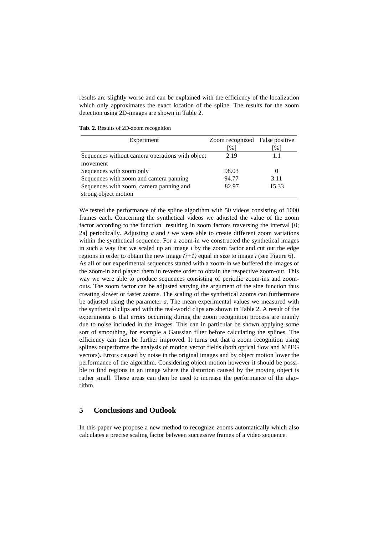results are slightly worse and can be explained with the efficiency of the localization which only approximates the exact location of the spline. The results for the zoom detection using 2D-images are shown in Table 2.

**Tab. 2.** Results of 2D-zoom recognition

| Experiment                                      | Zoom recognized False positive |       |
|-------------------------------------------------|--------------------------------|-------|
|                                                 | [%]                            | [%]   |
| Sequences without camera operations with object | 2.19                           |       |
| movement                                        |                                |       |
| Sequences with zoom only                        | 98.03                          |       |
| Sequences with zoom and camera panning          | 94.77                          | 3.11  |
| Sequences with zoom, camera panning and         | 82.97                          | 15.33 |
| strong object motion                            |                                |       |

We tested the performance of the spline algorithm with 50 videos consisting of 1000 frames each. Concerning the synthetical videos we adjusted the value of the zoom factor according to the function resulting in zoom factors traversing the interval [0; 2a] periodically. Adjusting *a* and *t* we were able to create different zoom variations within the synthetical sequence. For a zoom-in we constructed the synthetical images in such a way that we scaled up an image *i* by the zoom factor and cut out the edge regions in order to obtain the new image  $(i+1)$  equal in size to image *i* (see Figure 6).

As all of our experimental sequences started with a zoom-in we buffered the images of the zoom-in and played them in reverse order to obtain the respective zoom-out. This way we were able to produce sequences consisting of periodic zoom-ins and zoomouts. The zoom factor can be adjusted varying the argument of the sine function thus creating slower or faster zooms. The scaling of the synthetical zooms can furthermore be adjusted using the parameter *a*. The mean experimental values we measured with the synthetical clips and with the real-world clips are shown in Table 2. A result of the experiments is that errors occurring during the zoom recognition process are mainly due to noise included in the images. This can in particular be shown applying some sort of smoothing, for example a Gaussian filter before calculating the splines. The efficiency can then be further improved. It turns out that a zoom recognition using splines outperforms the analysis of motion vector fields (both optical flow and MPEG vectors). Errors caused by noise in the original images and by object motion lower the performance of the algorithm. Considering object motion however it should be possible to find regions in an image where the distortion caused by the moving object is rather small. These areas can then be used to increase the performance of the algorithm.

## **5 Conclusions and Outlook**

In this paper we propose a new method to recognize zooms automatically which also calculates a precise scaling factor between successive frames of a video sequence.